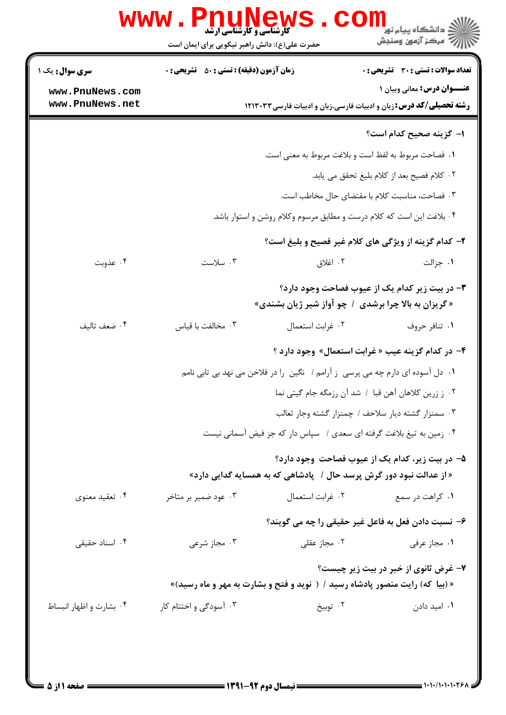|                                    | حضرت علی(ع): دانش راهبر نیکویی برای ایمان است      |                  | ر آمرڪز آزمون وسنڊش                                                                                                  |
|------------------------------------|----------------------------------------------------|------------------|----------------------------------------------------------------------------------------------------------------------|
| سری سوال: یک ۱                     | <b>زمان آزمون (دقیقه) : تستی : 50 ٪ تشریحی : 0</b> |                  | <b>تعداد سوالات : تستی : 30 ٪ تشریحی : 0</b>                                                                         |
| www.PnuNews.com<br>www.PnuNews.net |                                                    |                  | <b>عنــوان درس:</b> معانی وبیان ۱<br><b>رشته تحصیلی/کد درس:</b> زبان و ادبیات فارسی،زبان و ادبیات فارسی ۱۲۱۳۰۳۳      |
|                                    |                                                    |                  | <b>ا– گزینه صحیح کدام است؟</b>                                                                                       |
|                                    |                                                    |                  | ٠١. فصاحت مربوط به لفظ است و بلاغت مربوط به معنى است.                                                                |
|                                    |                                                    |                  | ٠٢ كلام فصيح بعد از كلام بليغ تحقق مي يابد.                                                                          |
|                                    |                                                    |                  | ۰۳ فصاحت، مناسبت کلام با مقتضای حال مخاطب است.                                                                       |
|                                    |                                                    |                  | ۰۴ بلاغت این است که کلام درست و مطابق مرسوم وکلام روشن و استوار باشد.                                                |
|                                    |                                                    |                  | ۲- کدام گزینه از ویژگی های کلام غیر فصیح و بلیغ است؟                                                                 |
| ۰۴ عذوبت                           | ۰۳ سلاست                                           | ۰۲ اغلاق         | ۰۱ جزالت                                                                                                             |
|                                    |                                                    |                  | ۳- در بیت زیر کدام یک از عیوب فصاحت وجود دارد؟<br>«گریزان به بالا چرا برشدی ۱ چو آواز شیر ژیان بشندی»                |
| ۰۴ ضعف تاليف                       | ۰۳ مخالفت با قیاس                                  | ٠٢ غرابت استعمال | ۰۱ تنافر حروف                                                                                                        |
|                                    |                                                    |                  | ۴- در کدام گزینه عیب « غرابت استعمال» وجود دارد ؟                                                                    |
|                                    |                                                    |                  | ۰۱ دل آسوده ای دارم چه می پرسی  ز آرامم /  نگین  را در فلاخن می نهد بی تابی نامم                                     |
|                                    |                                                    |                  | ۰۲ ز زرین کلاهان آهن قبا / شد آن رزمگه جام گیتی نما                                                                  |
|                                    |                                                    |                  | ٠٣ سمنزار گشته ديار سلاحف / چمنزار گشته وجار ثعالب                                                                   |
|                                    |                                                    |                  | ۰۴ زمین به تیغ بلاغت گرفته ای سعدی / سپاس دار که جز فیض آسمانی نیست                                                  |
|                                    |                                                    |                  | ۵– در بیت زیر، کدام یک از عیوب فصاحت وجود دارد؟                                                                      |
|                                    |                                                    |                  | « از عدالت نبود دور گرش پرسد حال /   پادشاهی که به همسایه گدایی دارد»                                                |
| ۰۴ تعقید معنوی                     | ۰۳ عود ضمیر بر متاخر                               | ٠٢ غرابت استعمال | ۰۱ کراهت در سمع                                                                                                      |
|                                    |                                                    |                  | ۶– نسبت دادن فعل به فاعل غیر حقیقی را چه می گویند؟                                                                   |
| ۰۴ اسناد حقیقی                     | ۰۳ مجاز شرعی                                       | ۰۲ مجاز عقلی     | ۰۱ مجاز عرفی                                                                                                         |
|                                    |                                                    |                  | ۷- غرض ثانوی از خبر در بیت زیر چیست؟<br>« (بیا که) رایت منصور پادشاه رسید / ( نوید و فتح و بشارت به مهر و ماه رسید)» |
| ۰۴ بشارت و اظهار انبساط            | ۰۳ آسودگی و اختتام کار                             | ۰۲ توبیخ         | ۰۱ امید دادن                                                                                                         |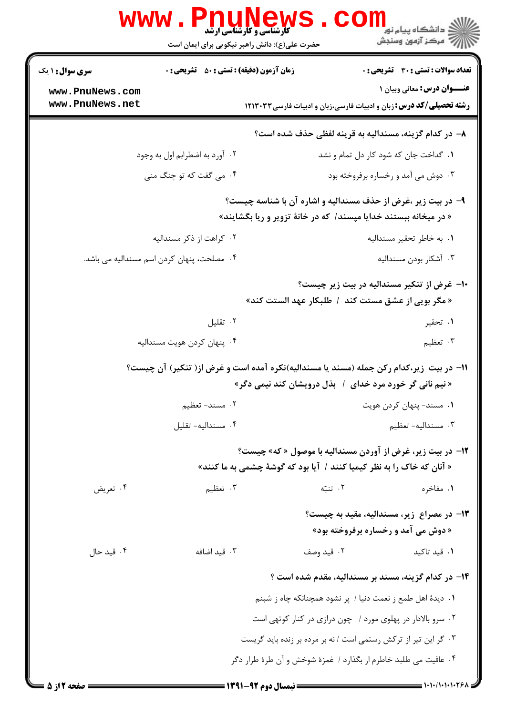|                                                              | <b>www.PnuNews</b>                                                                     | <b>گارشناسی و کارشناسی ارشد</b>                                         |            |                                                                                                          |  |
|--------------------------------------------------------------|----------------------------------------------------------------------------------------|-------------------------------------------------------------------------|------------|----------------------------------------------------------------------------------------------------------|--|
|                                                              |                                                                                        | حضرت علی(ع): دانش راهبر نیکویی برای ایمان است                           |            |                                                                                                          |  |
| <b>سری سوال : ۱ یک</b>                                       | <b>زمان آزمون (دقیقه) : تستی : 50 ٪ تشریحی : 0</b>                                     |                                                                         |            | <b>تعداد سوالات : تستی : 30 - تشریحی : 0</b>                                                             |  |
| www.PnuNews.com<br>www.PnuNews.net                           |                                                                                        |                                                                         |            | عنــوان درس: معانی وبیان ۱<br><b>رشته تحصیلی/کد درس:</b> زبان و ادبیات فارسی،زبان و ادبیات فارسی ۱۲۱۳۰۳۳ |  |
|                                                              |                                                                                        |                                                                         |            |                                                                                                          |  |
|                                                              |                                                                                        |                                                                         |            | ۸– در کدام گزینه، مسندالیه به قرینه لفظی حذف شده است؟                                                    |  |
|                                                              | ۰۲ آورد به اضطرابم اول به وجود                                                         |                                                                         |            | ۰۱ گداخت جان که شود کار دل تمام و نشد                                                                    |  |
|                                                              | ۰۴ می گفت که تو چنگ منی                                                                |                                                                         |            | ۰۳ دوش می آمد و رخساره برفروخته بود                                                                      |  |
| ۹- در بیت زیر ،غرض از حذف مسندالیه و اشاره آن با شناسه چیست؟ |                                                                                        |                                                                         |            |                                                                                                          |  |
|                                                              |                                                                                        | « در میخانه ببستند خدایا مپسند/ که در خانهٔ تزویر و ریا بگشایند»        |            |                                                                                                          |  |
|                                                              | ۰۲ کراهت از ذکر مسندالیه                                                               |                                                                         |            | ٠١. به خاطر تحقير مسنداليه                                                                               |  |
|                                                              | ۰۴ مصلحت، پنهان کردن اسم مسندالیه می باشد.                                             |                                                                         |            | ۰۳ آشکار بودن مسندالیه                                                                                   |  |
|                                                              |                                                                                        |                                                                         |            | ∙۱− غرض از تنکیر مسندالیه در بیت زیر چیست؟                                                               |  |
|                                                              |                                                                                        |                                                                         |            | « مگر بويي از عشق مستت كند  /  طلبكار عهد الستت كند»                                                     |  |
|                                                              | ۰۲ تقلیل                                                                               |                                                                         |            | ۰۱ تحقیر                                                                                                 |  |
|                                                              | ۰۴ پنهان کردن هويت مسنداليه                                                            |                                                                         |            | ۰۳ تعظیم                                                                                                 |  |
|                                                              | 1۱– در بیت زیر،کدام رکن جمله (مسند یا مسندالیه)نکره آمده است و غرض از( تنکیر) آن چیست؟ |                                                                         |            |                                                                                                          |  |
|                                                              |                                                                                        | « نیم نانی گر خورد مرد خدای ۱ بذل درویشان کند نیمی دگر»                 |            |                                                                                                          |  |
| ٢. مسند- تعظيم                                               |                                                                                        |                                                                         |            | ۰۱ مسند- پنهان کردن هويت                                                                                 |  |
|                                                              | ۰۴ مسنداليه- تقليل                                                                     |                                                                         |            | ۰۳ مسنداليه-تعظيم                                                                                        |  |
|                                                              |                                                                                        |                                                                         |            | ۱۲- در بیت زیر، غرض از آوردن مسندالیه با موصول « که» چیست؟                                               |  |
|                                                              |                                                                                        | « آنان که خاک را به نظر کیمیا کنند /  آیا بود که گوشهٔ چشمی به ما کنند» |            |                                                                                                          |  |
| ۰۴ تعریض                                                     | ۰۳ تعظیم                                                                               |                                                                         | ۰۲ تنبّه   | ۰۱ مفاخره                                                                                                |  |
|                                                              |                                                                                        |                                                                         |            | <b>۱۳</b> - در مصراع زیر، مسندالیه، مقید به چیست؟                                                        |  |
|                                                              |                                                                                        |                                                                         |            | «دوش می آمد و رخساره برفروخته بود»                                                                       |  |
| ۰۴ قید حال                                                   | ۰۳ قید اضافه                                                                           |                                                                         | ۰۲ قید وصف | ۰۱ قید تاکید                                                                                             |  |
|                                                              |                                                                                        |                                                                         |            | ۱۴– در کدام گزینه، مسند بر مسندالیه، مقدم شده است ؟                                                      |  |
|                                                              |                                                                                        |                                                                         |            | ۰۱ دیدهٔ اهل طمع ز نعمت دنیا / پر نشود همچنانکه چاه ز شبنم                                               |  |
|                                                              |                                                                                        |                                                                         |            | ۰۲ سرو بالادار در پهلوی مورد / چون درازی در کنار کوتهی است                                               |  |
|                                                              |                                                                                        | ۰۳ گر این تیر از ترکش رستمی است / نه بر مرده بر زنده باید گریست         |            |                                                                                                          |  |
|                                                              |                                                                                        | ۰۴ عافیت می طلبد خاطرم ار بگذارد / غمزهٔ شوخش و آن طرهٔ طرار دگر        |            |                                                                                                          |  |
| <b>= صفحه 2 از 5</b> =                                       |                                                                                        |                                                                         |            | $\equiv$ 1.1./1.1.1.268                                                                                  |  |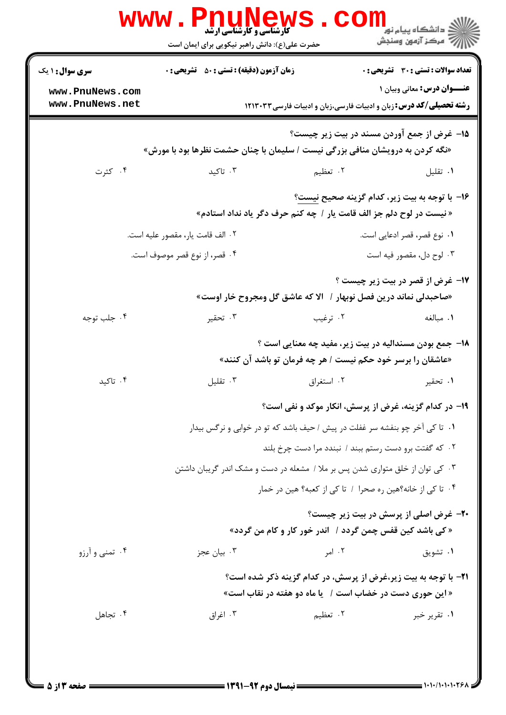| <b>سری سوال :</b> ۱ یک | <b>زمان آزمون (دقیقه) : تستی : 50 ٪ تشریحی : 0</b>                             |                                                                               | تعداد سوالات : تستى : 30 ٪ تشريحي : 0         |
|------------------------|--------------------------------------------------------------------------------|-------------------------------------------------------------------------------|-----------------------------------------------|
| www.PnuNews.com        |                                                                                |                                                                               | <b>عنــوان درس:</b> معانی وبیان ۱             |
| www.PnuNews.net        |                                                                                | <b>رشته تحصیلی/کد درس:</b> زبان و ادبیات فارسی،زبان و ادبیات فارسی۱۲۱۳۰۳۳     |                                               |
|                        |                                                                                | 1۵- غرض از جمع آوردن مسند در بیت زیر چیست؟                                    |                                               |
|                        | «نگه کردن به درویشان منافی بزرگی نیست / سلیمان با چنان حشمت نظرها بود با مورش» |                                                                               |                                               |
| ۰۴ کثرت                | ۰۳ تاکید                                                                       | ۰۲ تعظیم                                                                      | ٠١ تقليل                                      |
|                        |                                                                                | 1۶- با توجه به بيت زير، كدام گزينه صحيح نيست؟                                 |                                               |
|                        |                                                                                | « نیست در لوح دلم جز الف قامت یار / چه کنم حرف دگر یاد نداد استادم»           |                                               |
|                        | ٠٢ الف قامت يار، مقصور عليه است.                                               |                                                                               | ۰۱ نوع قصر، قصر ادعایی است.                   |
|                        | ۰۴ قصر، از نوع قصر موصوف است.                                                  |                                                                               | ۰۳ لوح دل، مقصور فيه است                      |
|                        |                                                                                |                                                                               | ۱۷- غرض از قصر در بیت زیر چیست ؟              |
|                        |                                                                                | «صاحبدلی نماند درین فصل نوبهار /   الا که عاشق گل ومجروح خار اوست»            |                                               |
| ۰۴ جلب توجه            | ۰۳ تحقیر                                                                       | ۰۲ ترغیب                                                                      | ۰۱ مبالغه                                     |
|                        |                                                                                | 18– جمع بودن مسندالیه در بیت زیر، مفید چه معنایی است ؟                        |                                               |
|                        |                                                                                | «عاشقان را برسر خود حکم نیست / هر چه فرمان تو باشد آن کنند»                   |                                               |
| ۰۴ تاکید               | ۰۳ تقلیل                                                                       | ۰۲ استغراق                                                                    | ۰۱ تحقیر                                      |
|                        |                                                                                | ۱۹- در کدام گزینه، غرض از پرسش، انکار موکد و نفی است؟                         |                                               |
|                        |                                                                                | ۰۱ تا کی آخر چو بنفشه سر غفلت در پیش / حیف باشد که تو در خوابی و نرگس بیدار   |                                               |
|                        |                                                                                | ۰۲ که گفتت برو دست رستم ببند / نبندد مرا دست چرخ بلند                         |                                               |
|                        |                                                                                | ۰۳ کی توان از خلق متواری شدن پس بر ملا / مشعله در دست و مشک اندر گریبان داشتن |                                               |
|                        |                                                                                | ۰۴ تا کی از خانه؟هین ره صحرا / تا کی از کعبه؟ هین در خمار                     |                                               |
|                        |                                                                                |                                                                               | <b>۲۰</b> - غرض اصلی از پرسش در بیت زیر چیست؟ |
|                        |                                                                                | « کی باشد کین قفس چمن گردد / آندر خور کار و کام من گردد»                      |                                               |
| ۰۴ تمنی و آرزو         | ۰۳ بیان عجز                                                                    | ۰۲ امر                                                                        | ۰۱ تشویق                                      |
|                        |                                                                                | <b>۲۱</b> - با توجه به بیت زیر،غرض از پرسش، در کدام گزینه ذکر شده است؟        |                                               |
|                        |                                                                                | « این حوری دست در خضاب است / یا ماه دو هفته در نقاب است»                      |                                               |
| ۰۴ تجاهل               | ۰۳ اغراق                                                                       | ۲. تعظیم                                                                      | ۰۱ تقریر خبر                                  |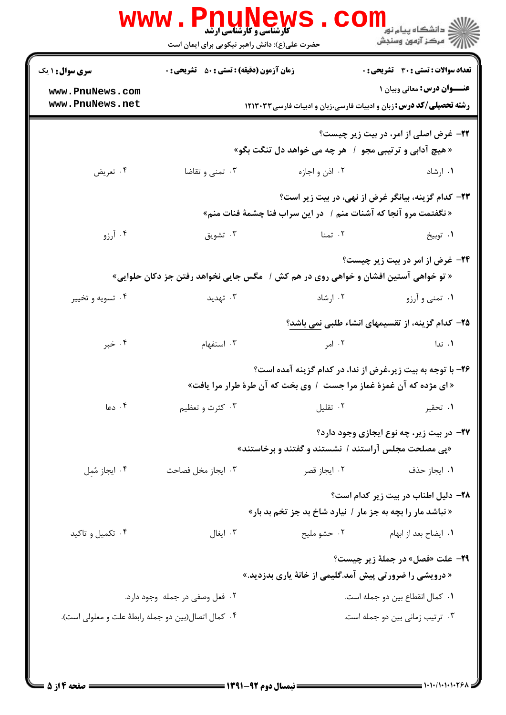|                                                     | <b>WWW.PNUNEWS</b><br><b>کارشناسی و کارشناسی ارشد</b><br>حضرت علی(ع): دانش راهبر نیکویی برای ایمان است |                                                                                                                                     | د انشگاه پيام نو <mark>ر</mark><br>رآب مرڪز آزمون وسنڊش |
|-----------------------------------------------------|--------------------------------------------------------------------------------------------------------|-------------------------------------------------------------------------------------------------------------------------------------|---------------------------------------------------------|
| <b>سری سوال : ۱ یک</b>                              | <b>زمان آزمون (دقیقه) : تستی : 50 ٪ تشریحی : 0</b>                                                     |                                                                                                                                     | <b>تعداد سوالات : تستی : 30 ٪ تشریحی : 0</b>            |
| www.PnuNews.com<br>www.PnuNews.net                  |                                                                                                        | <b>رشته تحصیلی/کد درس:</b> زبان و ادبیات فارسی،زبان و ادبیات فارسی ۱۲۱۳۰۳۳                                                          | <b>عنــوان درس:</b> معانی وبیان ۱                       |
|                                                     |                                                                                                        | « هیچ آدابی و ترتیبی مجو ۱ هر چه می خواهد دل تنگت بگو»                                                                              | <b>3۲- غرض اصلی از امر، در بیت زیر چیست؟</b>            |
| ۰۴ تعریض                                            | ۰۳ تمنی و تقاضا                                                                                        | ۰۲ اذن و اجازه                                                                                                                      | ۰۱ ارشاد                                                |
|                                                     |                                                                                                        | « نگفتمت مرو آنجا که آشنات منم /   در این سراب فنا چشمهٔ فنات منم»                                                                  | ۲۳– کدام گزینه، بیانگر غرض از نهی، در بیت زیر است؟      |
| ۰۴ آرزو                                             | ۰۳ تشویق                                                                                               | ۰۲ تمنا                                                                                                                             | ۰۱ توبيخ                                                |
|                                                     | « تو خواهی آستین افشان و خواهی روی در هم کش /   مگس جایی نخواهد رفتن جز دکان حلوایی»                   |                                                                                                                                     | <b>۲۴</b> - غرض از امر در بیت زیر چیست؟                 |
| ۰۴ تسویه و تخییر                                    | ۰۳ تهدید                                                                                               | ۰۲ ارشاد                                                                                                                            | ۰۱ تمنی و آرزو                                          |
|                                                     |                                                                                                        |                                                                                                                                     | ۲۵– کدام گزینه، از تقسیمهای انشاء طلبی نمی باشد؟        |
| ۰۴ خبر                                              | ۰۳ استفهام                                                                                             | ۰۲ امر                                                                                                                              | ۰۱ ندا                                                  |
|                                                     |                                                                                                        | ۲۶– با توجه به بیت زیر،غرض از ندا، در کدام گزینه آمده است؟<br>« ای مژده که آن غمزهٔ غماز مرا جست ۱ وی بخت که آن طرهٔ طرار مرا یافت» |                                                         |
| ۰۴ دعا                                              | ۰۳ کثرت و تعظیم                                                                                        | ۰۲ تقلیل                                                                                                                            | ۰۱ تحقیر                                                |
|                                                     |                                                                                                        | «پی مصلحت مجلس آراستند / نشستند و گفتند و برخاستند»                                                                                 | ۲۷– در بیت زیر، چه نوع ایجازی وجود دارد؟                |
| ۰۴ ایجاز مُمِل                                      | ۰۳ ایجاز مخل فصاحت                                                                                     | ۰۲ ایجاز قصر                                                                                                                        | ۰۱ ایجاز حذف                                            |
|                                                     |                                                                                                        | « نباشد مار را بچه به جز مار / نیارد شاخ بد جز تخم بد بار»                                                                          | ۲۸– دلیل اطناب در بیت زیر کدام است؟                     |
| ۰۴ تکمیل و تاکید                                    | ۰۳ ایغال                                                                                               | ۰۲ حشو مليح                                                                                                                         | ۰۱ ایضاح بعد از ابهام                                   |
|                                                     |                                                                                                        | « درویشی را ضرورتی پیش آمد.گلیمی از خانهٔ یاری بدزدید.»                                                                             | <b>۲۹</b> - علت «فصل» در جملهٔ زیر چیست؟                |
|                                                     | ۰۲ فعل وصفی در جمله وجود دارد.                                                                         |                                                                                                                                     | ٠١. كمال انقطاع بين دو جمله است.                        |
| ۰۴ کمال اتصال(بین دو جمله رابطهٔ علت و معلولی است). |                                                                                                        |                                                                                                                                     | ٠٣ ترتيب زمانى بين دو جمله است.                         |
|                                                     |                                                                                                        |                                                                                                                                     |                                                         |